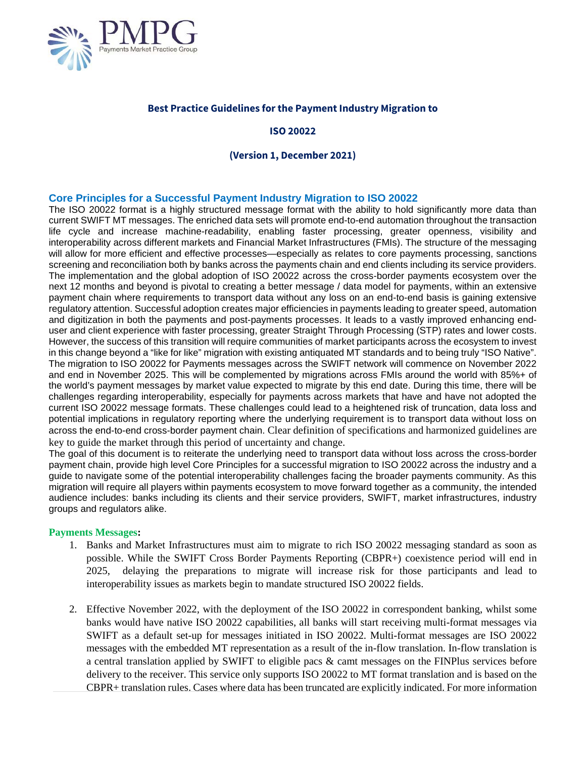

# **Best Practice Guidelines for the Payment Industry Migration to**

# **ISO 20022**

# **(Version 1, December 2021)**

### **Core Principles for a Successful Payment Industry Migration to ISO 20022**

The ISO 20022 format is a highly structured message format with the ability to hold significantly more data than current SWIFT MT messages. The enriched data sets will promote end-to-end automation throughout the transaction life cycle and increase machine-readability, enabling faster processing, greater openness, visibility and interoperability across different markets and Financial Market Infrastructures (FMIs). The structure of the messaging will allow for more efficient and effective processes—especially as relates to core payments processing, sanctions screening and reconciliation both by banks across the payments chain and end clients including its service providers. The implementation and the global adoption of ISO 20022 across the cross-border payments ecosystem over the next 12 months and beyond is pivotal to creating a better message / data model for payments, within an extensive payment chain where requirements to transport data without any loss on an end-to-end basis is gaining extensive regulatory attention. Successful adoption creates major efficiencies in payments leading to greater speed, automation and digitization in both the payments and post-payments processes. It leads to a vastly improved enhancing enduser and client experience with faster processing, greater Straight Through Processing (STP) rates and lower costs. However, the success of this transition will require communities of market participants across the ecosystem to invest in this change beyond a "like for like" migration with existing antiquated MT standards and to being truly "ISO Native". The migration to ISO 20022 for Payments messages across the SWIFT network will commence on November 2022 and end in November 2025. This will be complemented by migrations across FMIs around the world with 85%+ of the world's payment messages by market value expected to migrate by this end date. During this time, there will be challenges regarding interoperability, especially for payments across markets that have and have not adopted the current ISO 20022 message formats. These challenges could lead to a heightened risk of truncation, data loss and potential implications in regulatory reporting where the underlying requirement is to transport data without loss on across the end-to-end cross-border payment chain. Clear definition of specifications and harmonized guidelines are key to guide the market through this period of uncertainty and change.

The goal of this document is to reiterate the underlying need to transport data without loss across the cross-border payment chain, provide high level Core Principles for a successful migration to ISO 20022 across the industry and a guide to navigate some of the potential interoperability challenges facing the broader payments community. As this migration will require all players within payments ecosystem to move forward together as a community, the intended audience includes: banks including its clients and their service providers, SWIFT, market infrastructures, industry groups and regulators alike.

#### **Payments Messages:**

- 1. Banks and Market Infrastructures must aim to migrate to rich ISO 20022 messaging standard as soon as possible. While the SWIFT Cross Border Payments Reporting (CBPR+) coexistence period will end in 2025, delaying the preparations to migrate will increase risk for those participants and lead to interoperability issues as markets begin to mandate structured ISO 20022 fields.
- 2. Effective November 2022, with the deployment of the ISO 20022 in correspondent banking, whilst some banks would have native ISO 20022 capabilities, all banks will start receiving multi-format messages via SWIFT as a default set-up for messages initiated in ISO 20022. Multi-format messages are ISO 20022 messages with the embedded MT representation as a result of the in-flow translation. In-flow translation is a central translation applied by SWIFT to eligible pacs & camt messages on the FINPlus services before delivery to the receiver. This service only supports ISO 20022 to MT format translation and is based on the CBPR+ translation rules. Cases where data has been truncated are explicitly indicated. For more information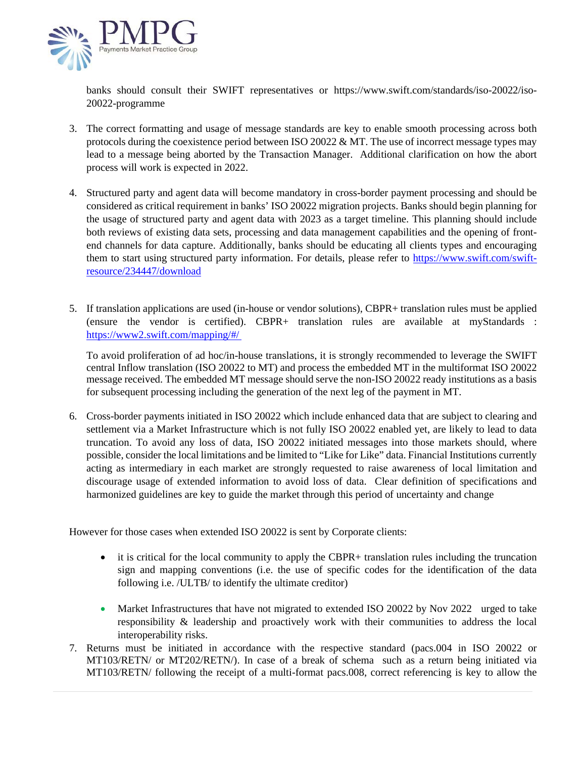

banks should consult their SWIFT representatives or https://www.swift.com/standards/iso-20022/iso-20022-programme

- 3. The correct formatting and usage of message standards are key to enable smooth processing across both protocols during the coexistence period between ISO 20022  $&$  MT. The use of incorrect message types may lead to a message being aborted by the Transaction Manager. Additional clarification on how the abort process will work is expected in 2022.
- 4. Structured party and agent data will become mandatory in cross-border payment processing and should be considered as critical requirement in banks' ISO 20022 migration projects. Banks should begin planning for the usage of structured party and agent data with 2023 as a target timeline. This planning should include both reviews of existing data sets, processing and data management capabilities and the opening of frontend channels for data capture. Additionally, banks should be educating all clients types and encouraging them to start using structured party information. For details, please refer to [https://www.swift.com/swift](https://www.swift.com/swift-resource/234447/download)[resource/234447/download](https://www.swift.com/swift-resource/234447/download)
- 5. If translation applications are used (in-house or vendor solutions), CBPR+ translation rules must be applied (ensure the vendor is certified). CBPR+ translation rules are available at myStandards : <https://www2.swift.com/mapping/#/>

To avoid proliferation of ad hoc/in-house translations, it is strongly recommended to leverage the SWIFT central Inflow translation (ISO 20022 to MT) and process the embedded MT in the multiformat ISO 20022 message received. The embedded MT message should serve the non-ISO 20022 ready institutions as a basis for subsequent processing including the generation of the next leg of the payment in MT.

6. Cross-border payments initiated in ISO 20022 which include enhanced data that are subject to clearing and settlement via a Market Infrastructure which is not fully ISO 20022 enabled yet, are likely to lead to data truncation. To avoid any loss of data, ISO 20022 initiated messages into those markets should, where possible, consider the local limitations and be limited to "Like for Like" data. Financial Institutions currently acting as intermediary in each market are strongly requested to raise awareness of local limitation and discourage usage of extended information to avoid loss of data. Clear definition of specifications and harmonized guidelines are key to guide the market through this period of uncertainty and change

However for those cases when extended ISO 20022 is sent by Corporate clients:

- it is critical for the local community to apply the CBPR+ translation rules including the truncation sign and mapping conventions (i.e. the use of specific codes for the identification of the data following i.e. /ULTB/ to identify the ultimate creditor)
- Market Infrastructures that have not migrated to extended ISO 20022 by Nov 2022 urged to take responsibility & leadership and proactively work with their communities to address the local interoperability risks.
- 7. Returns must be initiated in accordance with the respective standard (pacs.004 in ISO 20022 or MT103/RETN/ or MT202/RETN/). In case of a break of schema such as a return being initiated via MT103/RETN/ following the receipt of a multi-format pacs.008, correct referencing is key to allow the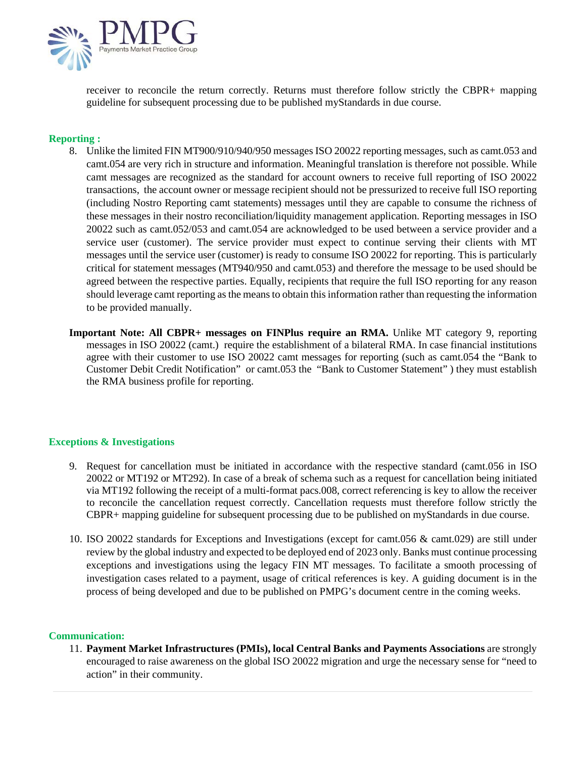

receiver to reconcile the return correctly. Returns must therefore follow strictly the CBPR+ mapping guideline for subsequent processing due to be published myStandards in due course.

# **Reporting :**

- 8. Unlike the limited FIN MT900/910/940/950 messages ISO 20022 reporting messages, such as camt.053 and camt.054 are very rich in structure and information. Meaningful translation is therefore not possible. While camt messages are recognized as the standard for account owners to receive full reporting of ISO 20022 transactions, the account owner or message recipient should not be pressurized to receive full ISO reporting (including Nostro Reporting camt statements) messages until they are capable to consume the richness of these messages in their nostro reconciliation/liquidity management application. Reporting messages in ISO 20022 such as camt.052/053 and camt.054 are acknowledged to be used between a service provider and a service user (customer). The service provider must expect to continue serving their clients with MT messages until the service user (customer) is ready to consume ISO 20022 for reporting. This is particularly critical for statement messages (MT940/950 and camt.053) and therefore the message to be used should be agreed between the respective parties. Equally, recipients that require the full ISO reporting for any reason should leverage camt reporting as the means to obtain this information rather than requesting the information to be provided manually.
- **Important Note: All CBPR+ messages on FINPlus require an RMA.** Unlike MT category 9, reporting messages in ISO 20022 (camt.) require the establishment of a bilateral RMA. In case financial institutions agree with their customer to use ISO 20022 camt messages for reporting (such as camt.054 the "Bank to Customer Debit Credit Notification" or camt.053 the "Bank to Customer Statement" ) they must establish the RMA business profile for reporting.

#### **Exceptions & Investigations**

- 9. Request for cancellation must be initiated in accordance with the respective standard (camt.056 in ISO 20022 or MT192 or MT292). In case of a break of schema such as a request for cancellation being initiated via MT192 following the receipt of a multi-format pacs.008, correct referencing is key to allow the receiver to reconcile the cancellation request correctly. Cancellation requests must therefore follow strictly the CBPR+ mapping guideline for subsequent processing due to be published on myStandards in due course.
- 10. ISO 20022 standards for Exceptions and Investigations (except for camt.056 & camt.029) are still under review by the global industry and expected to be deployed end of 2023 only. Banks must continue processing exceptions and investigations using the legacy FIN MT messages. To facilitate a smooth processing of investigation cases related to a payment, usage of critical references is key. A guiding document is in the process of being developed and due to be published on PMPG's document centre in the coming weeks.

#### **Communication:**

11. **Payment Market Infrastructures (PMIs), local Central Banks and Payments Associations** are strongly encouraged to raise awareness on the global ISO 20022 migration and urge the necessary sense for "need to action" in their community.